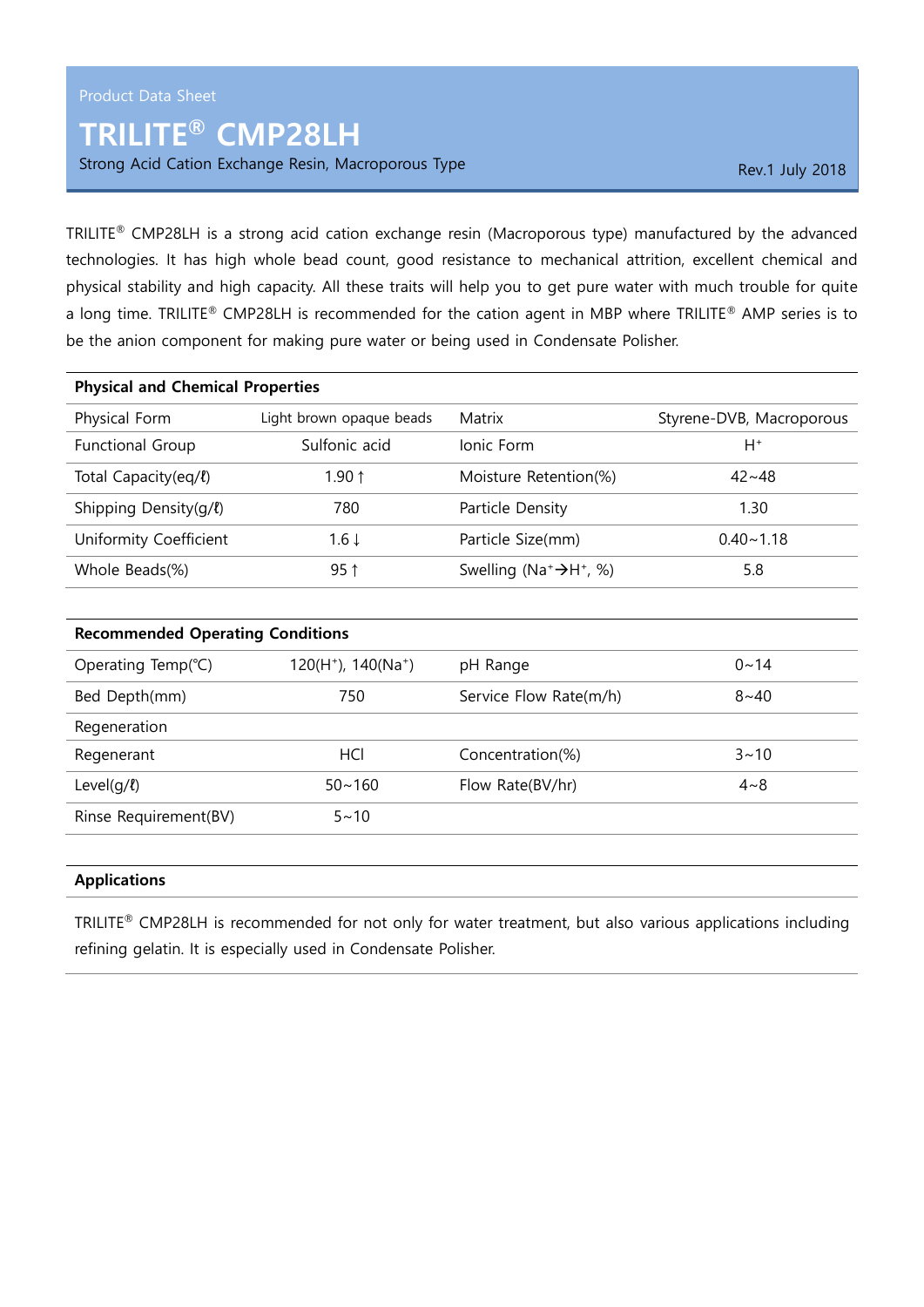## TRILITE® CMP28LH

Strong Acid Cation Exchange Resin, Macroporous Type Rev.1 July 2018

TRILITE® CMP28LH is a strong acid cation exchange resin (Macroporous type) manufactured by the advanced technologies. It has high whole bead count, good resistance to mechanical attrition, excellent chemical and physical stability and high capacity. All these traits will help you to get pure water with much trouble for quite a long time. TRILITE® CMP28LH is recommended for the cation agent in MBP where TRILITE® AMP series is to be the anion component for making pure water or being used in Condensate Polisher.

| <b>Physical and Chemical Properties</b> |                          |                                                             |                          |  |
|-----------------------------------------|--------------------------|-------------------------------------------------------------|--------------------------|--|
| Physical Form                           | Light brown opaque beads | Matrix                                                      | Styrene-DVB, Macroporous |  |
| <b>Functional Group</b>                 | Sulfonic acid            | Ionic Form                                                  | H+                       |  |
| Total Capacity(eq/l)                    | 1.90 $\uparrow$          | Moisture Retention(%)                                       | $42 - 48$                |  |
| Shipping Density( $q/l$ )               | 780                      | Particle Density                                            | 1.30                     |  |
| Uniformity Coefficient                  | $1.6 \downarrow$         | Particle Size(mm)                                           | $0.40 - 1.18$            |  |
| Whole Beads(%)                          | $95$ ↑                   | Swelling (Na <sup>+</sup> $\rightarrow$ H <sup>+</sup> , %) | 5.8                      |  |

| <b>Recommended Operating Conditions</b> |                        |                        |             |  |
|-----------------------------------------|------------------------|------------------------|-------------|--|
| Operating Temp(°C)                      | $120(H+)$ , $140(Na+)$ | pH Range               | $0 \sim 14$ |  |
| Bed Depth(mm)                           | 750                    | Service Flow Rate(m/h) | $8 - 40$    |  |
| Regeneration                            |                        |                        |             |  |
| Regenerant                              | HCI                    | Concentration(%)       | $3 - 10$    |  |
| Level( $q/l$ )                          | $50 - 160$             | Flow Rate(BV/hr)       | $4 - 8$     |  |
| Rinse Requirement(BV)                   | $5 - 10$               |                        |             |  |
|                                         |                        |                        |             |  |

## Applications

TRILITE® CMP28LH is recommended for not only for water treatment, but also various applications including refining gelatin. It is especially used in Condensate Polisher.